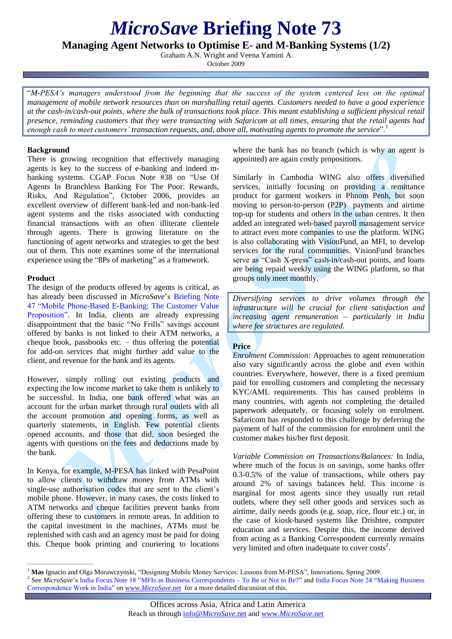# *MicroSave* **Briefing Note 73**

**Managing Agent Networks to Optimise E- and M-Banking Systems (1/2)**

Graham A.N. Wright and Veena Yamini A.

October 2009

"*M-PESA's managers understood from the beginning that the success of the system centered less on the optimal management of mobile network resources than on marshalling retail agents. Customers needed to have a good experience at the cash-in/cash-out points, where the bulk of transactions took place. This meant establishing a sufficient physical retail presence, reminding customers that they were transacting with Safaricom at all times, ensuring that the retail agents had enough cash to meet customers' transaction requests, and, above all, motivating agents to promote the service*".<sup>1</sup>

### **Background**

There is growing recognition that effectively managing agents is key to the success of e-banking and indeed mbanking systems. CGAP Focus Note #38 on "Use Of Agents In Branchless Banking For The Poor: Rewards, Risks, And Regulation", October 2006, provides an excellent overview of different bank-led and non-bank-led agent systems and the risks associated with conducting financial transactions with an often illiterate clientele through agents. There is growing literature on the functioning of agent networks and strategies to get the best out of them. This note examines some of the international experience using the "8Ps of marketing" as a framework.

# **Product**

 $\frac{1}{2}$  ,  $\frac{1}{2}$  ,  $\frac{1}{2}$  ,  $\frac{1}{2}$  ,  $\frac{1}{2}$  ,  $\frac{1}{2}$  ,  $\frac{1}{2}$  ,  $\frac{1}{2}$  ,  $\frac{1}{2}$  ,  $\frac{1}{2}$  ,  $\frac{1}{2}$  ,  $\frac{1}{2}$  ,  $\frac{1}{2}$  ,  $\frac{1}{2}$  ,  $\frac{1}{2}$  ,  $\frac{1}{2}$  ,  $\frac{1}{2}$  ,  $\frac{1}{2}$  ,  $\frac{1$ 

The design of the products offered by agents is critical, as has already been discussed in *MicroSave*'s [Briefing Note](http://www.microsave.org/briefing_notes/briefing-note-47-mobile-phone-banking-the-customer-value-proposition)  [47 "Mobile Phone-Based E-Banking: The Customer Value](http://www.microsave.org/briefing_notes/briefing-note-47-mobile-phone-banking-the-customer-value-proposition)  [Proposition".](http://www.microsave.org/briefing_notes/briefing-note-47-mobile-phone-banking-the-customer-value-proposition) In India, clients are already expressing disappointment that the basic "No Frills" savings account offered by banks is not linked to their ATM networks, a cheque book, passbooks etc. – thus offering the potential for add-on services that might further add value to the client, and revenue for the bank and its agents.

However, simply rolling out existing products and expecting the low income market to take them is unlikely to be successful. In India, one bank offered what was an account for the urban market through rural outlets with all the account promotion and opening forms, as well as quarterly statements, in English. Few potential clients opened accounts, and those that did, soon besieged the agents with questions on the fees and deductions made by the bank.

In Kenya, for example, M-PESA has linked with PesaPoint to allow clients to withdraw money from ATMs with single-use authorisation codes that are sent to the client's mobile phone. However, in many cases, the costs linked to ATM networks and cheque facilities prevent banks from offering these to customers in remote areas. In addition to the capital investment in the machines, ATMs must be replenished with cash and an agency must be paid for doing this. Cheque book printing and couriering to locations

where the bank has no branch (which is why an agent is appointed) are again costly propositions.

Similarly in Cambodia WING also offers diversified services, initially focusing on providing a remittance product for garment workers in Phnom Penh, but soon moving to person-to-person (P2P) payments and airtime top-up for students and others in the urban centres. It then added an integrated web-based payroll management service to attract even more companies to use the platform. WING is also collaborating with VisionFund, an MFI, to develop services for the rural communities. VisionFund branches serve as "Cash X-press" cash-in/cash-out points, and loans are being repaid weekly using the WING platform, so that groups only meet monthly.

*Diversifying services to drive volumes through the infrastructure will be crucial for client satisfaction and increasing agent remuneration – particularly in India where fee structures are regulated.* 

# **Price**

*Enrolment Commission:* Approaches to agent remuneration also vary significantly across the globe and even within countries. Everywhere, however, there is a fixed premium paid for enrolling customers and completing the necessary KYC/AML requirements. This has caused problems in many countries, with agents not completing the detailed paperwork adequately, or focusing solely on enrolment. Safaricom has responded to this challenge by deferring the payment of half of the commission for enrolment until the customer makes his/her first deposit.

*Variable Commission on Transactions/Balances:* In India, where much of the focus is on savings, some banks offer 0.3-0.5% of the value of transactions, while others pay around 2% of savings balances held. This income is marginal for most agents since they usually run retail outlets, where they sell other goods and services such as airtime, daily needs goods (e.g. soap, rice, flour etc.) or, in the case of kiosk-based systems like Drishtee, computer education and services. Despite this, the income derived from acting as a Banking Correspondent currently remains very limited and often inadequate to cover costs<sup>2</sup>.

<sup>&</sup>lt;sup>1</sup> Mas Ignacio and Olga Morawczynski, "Designing Mobile Money Services: Lessons from M-PESA", Innovations, Spring 2009. <sup>2</sup> See *MicroSave*'s India Focus Note 18 "MFIs as Business Correspondents – To Be or Not to Be?" and India Focus Note 24 "Making Business" Correspondence Work in India" on www.*MicroSave*.net for a more detailed discussion of this.